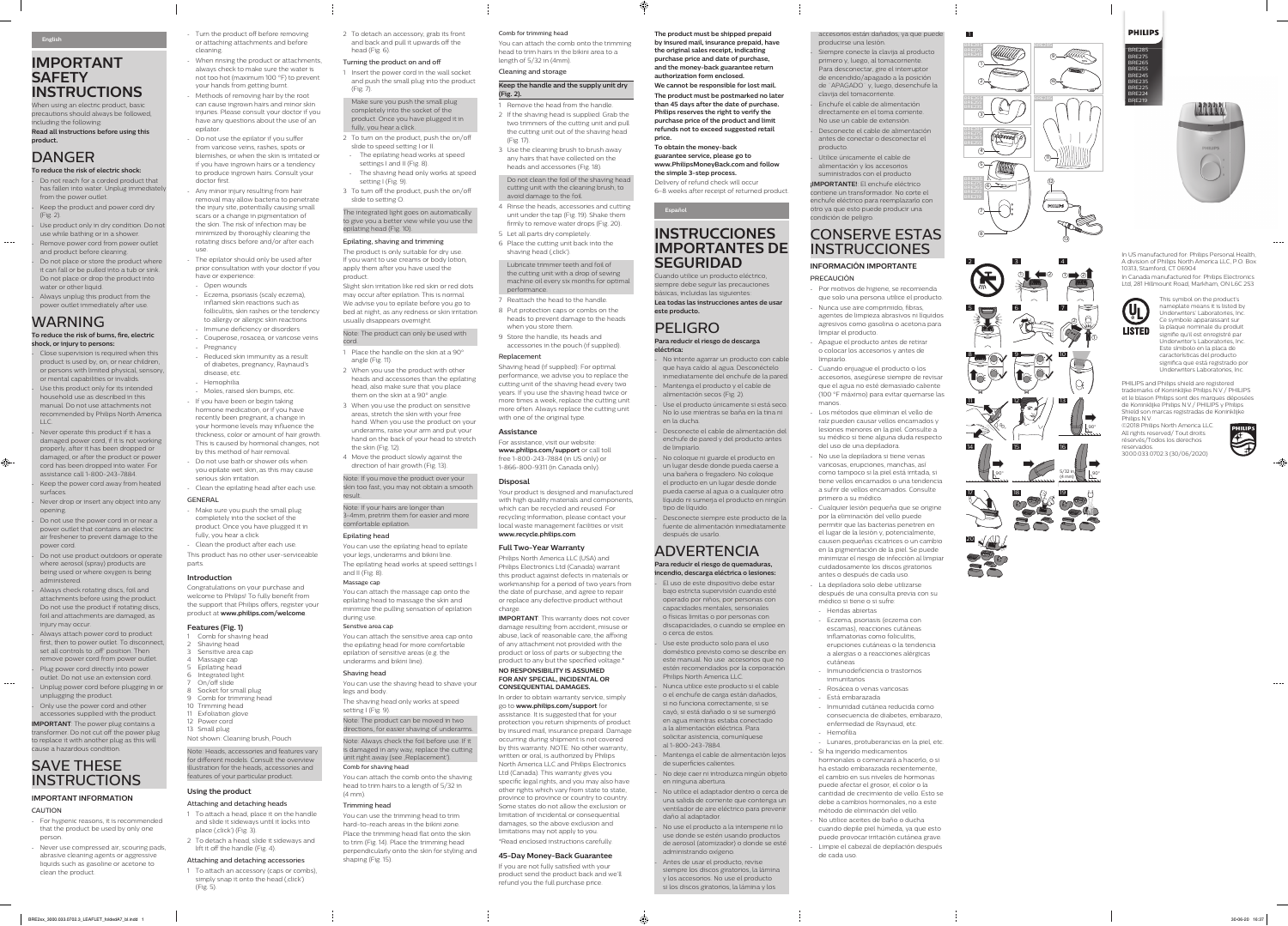1

 $\approx$ 

2

 $\bigcircled{\!\!}_\circ^\circ$ 

 $0 \bullet 2$   $0 \bullet 2$ 

90°

**PHILIPS** BRE285

> BRE275 BRE265 BRE255 BRE245 BRE235 BRE225 BRE224 BRE219



- Turn the product off before removing or attaching attachments and before cleaning.
- When rinsing the product or attachments, always check to make sure the water is not too hot (maximum 100 °F) to prevent your hands from getting burnt. Methods of removing hair by the root
- can cause ingrown hairs and minor skin injuries. Please consult your doctor if you have any questions about the use of an epilator.
- Do not use the epilator if you suffer from varicose veins, rashes, spots or blemishes, or when the skin is irritated or if you have ingrown hairs or a tendency to produce ingrown hairs. Consult your doctor first.
- Any minor injury resulting from hair removal may allow bacteria to penetrate the injury site, potentially causing small scars or a change in pigmentation of the skin. The risk of infection may be minimized by thoroughly cleaning the rotating discs before and/or after each use.
- The epilator should only be used after prior consultation with your doctor if you have or experience:
- Open wounds
- Eczema, psoriasis (scaly eczema), inflamed skin reactions such as folliculitis, skin rashes or the tendency to allergy or allergic skin reactions
- Immune deficiency or disorders
- Couperose, rosacea, or varicose veins - Pregnancy
- Reduced skin immunity as a result of diabetes, pregnancy, Raynaud's disease, etc. - Hemophilia
- Moles, raised skin bumps, etc. - If you have been or begin taking hormone medication, or if you have recently been pregnant, a change in your hormone levels may influence the thickness, color or amount of hair growth. This is caused by hormonal changes, not by this method of hair removal. - Do not use bath or shower oils when you epilate wet skin, as this may cause
- serious skin irritation. - Clean the epilating head after each use.
- GENERAL - Make sure you push the small plug
- completely into the socket of the product. Once you have plugged it in fully, you hear a click.
- Clean the product after each use. This product has no other user-serviceable parts.

- 1 To attach a head, place it on the handle and slide it sideways until it locks into place (.click') (Fig. 3).
- 2 To detach a head, slide it sideways and lift it off the handle (Fig. 4).

1 To attach an accessory (caps or combs), simply snap it onto the head (, click') (Fig. 5).

- 2 To turn on the product, push the on/off slide to speed setting I or II. - The epilating head works at speed
- settings I and II (Fig. 8). - The shaving head only works at speed setting I (Fig. 9).
- 3 To turn off the product, push the on/off slide to setting O.

## **Introduction**

Congratulations on your purchase and welcome to Philips! To fully benefit from the support that Philips offers, register your product at **www.philips.com/welcome**.

## **Features (Fig. 1)**

- 1 Place the handle on the skin at a 90° angle (Fig. 11).
- 2 When you use the product with other heads and accessories than the epilating head, also make sure that you place them on the skin at a 90° angle.
- 3 When you use the product on sensitive areas, stretch the skin with your free hand. When you use the product on your underarms, raise your arm and put your hand on the back of your head to stretch the skin (Fig. 12).
- 4 Move the product slowly against the direction of hair growth (Fig. 13).

- 1 Comb for shaving head 2 Shaving head
- 3 Sensitive area cap
- 4 Massage cap
- 5 Epilating head 6 Integrated light
- 7 On/off slide
- 8 Socket for small plug
- 9 Comb for trimming head 10 Trimming head
- 11 Exfoliation glove
- 12 Power cord
- 13 Small plug
- Not shown: Cleaning brush, Pouch

Note: Heads, accessories and features vary for different models. Consult the overview illustration for the heads, accessories and features of your particular product.

## **Using the product**

## Attaching and detaching heads

Note: Always check the foil before use. If it is damaged in any way, replace the cutting unit right away (see , Replacement').

## Attaching and detaching accessories

# **IMPORTANT SAFETY INSTRUCTIONS**

2 To detach an accessory, grab its front and back and pull it upwards off the head (Fig. 6).

# Turning the product on and off

1 Insert the power cord in the wall socket and push the small plug into the product (Fig. 7).

## Make sure you push the small plug completely into the socket of the product. Once you have plugged it in fully, you hear a click.

# The integrated light goes on automatically to give you a better view while you use the epilating head (Fig. 10).

## Epilating, shaving and trimming

The product is only suitable for dry use. If you want to use creams or body lotion, apply them after you have used the product.

Slight skin irritation like red skin or red dots may occur after epilation. This is normal. We advise you to epilate before you go to bed at night, as any redness or skin irritation usually disappears overnight.

Always attach power cord to product first, then to power outlet. To disconnect, set all controls to , off ' position. Then remove power cord from power outlet. Plug power cord directly into power outlet. Do not use an extension cord. - Unplug power cord before plugging in or

- unplugging the product.
- Only use the power cord and other accessories supplied with the product. **IMPORTANT**: The power plug contains a

Note: The product can only be used with cord.

# SAVE THESE **INSTRUCTIONS**

Note: If you move the product over your skin too fast, you may not obtain a smooth result.

Note: If your hairs are longer than 3-4mm, pretrim them for easier and more comfortable epilation.

## Epilating head

You can use the epilating head to epilate your legs, underarms and bikini line. The epilating head works at speed settings I and II (Fig. 8).

## Massage cap

You can attach the massage cap onto the epilating head to massage the skin and minimize the pulling sensation of epilation during use.

## Senstive area cap

You can attach the sensitive area cap onto the epilating head for more comfortable epilation of sensitive areas (e.g. the underarms and bikini line).

# Shaving head

You can use the shaving head to shave your legs and body.

The shaving head only works at speed setting I (Fig. 9).

Note: The product can be moved in two directions, for easier shaving of underarms. **IMPORTANT:** This warranty does not cover damage resulting from accident, misuse or abuse, lack of reasonable care, the affixing of any attachment not provided with the product or loss of parts or subjecting the product to any but the specified voltage.\* **NO RESPONSIBILITY IS ASSUMED FOR ANY SPECIAL, INCIDENTAL OR CONSEQUENTIAL DAMAGES.**

## Comb for shaving head

You can attach the comb onto the shaving head to trim hairs to a length of 5/32 in (4 mm).

## Trimming head

You can use the trimming head to trim hard-to-reach areas in the bikini zone. Place the trimming head flat onto the skin to trim (Fig. 14). Place the trimming head perpendicularly onto the skin for styling and shaping (Fig. 15).

When using an electric product, basic precautions should always be followed, including the following:

**Read all instructions before using this product.**

# DANGER

 $\sim$   $-$ 

 $\bigoplus$ 

- **To reduce the risk of electric shock:** - Do not reach for a corded product that has fallen into water. Unplug immediately
- from the power outlet. Keep the product and power cord dry (Fig. 2).
- Use product only in dry condition. Do not use while bathing or in a shower. Remove power cord from power outlet and product before cleaning.
- Do not place or store the product where it can fall or be pulled into a tub or sink. Do not place or drop the product into water or other liquid.
- Always unplug this product from the power outlet immediately after use.

# WARNING

**To reduce the risk of burns, fire, electric shock, or injury to persons:**

> No intente agarrar un producto con cable que haya caído al agua. Desconéctelo inmediatamente del enchufe de la pared. Mantenga el producto y el cable de alimentación secos (Fig. 2).

- Close supervision is required when this product is used by, on, or near children, or persons with limited physical, sensory, or mental capabilities or invalids.
- Use this product only for its intended household use as described in this manual. Do not use attachments not recommended by Philips North America LLC.
- Never operate this product if it has a damaged power cord, if it is not working properly, after it has been dropped or damaged, or after the product or power cord has been dropped into water. For assistance call 1-800-243-7884.
- Keep the power cord away from heated surfaces.
- Never drop or insert any object into any opening.

No coloque ni guarde el producto en un lugar desde donde pueda caerse a una bañera o fregadero. No coloque el producto en un lugar desde donde pueda caerse al agua o a cualquier otro líquido ni sumerja el producto en ningún tipo de líquido.

Desconecte siempre este producto de la fuente de alimentación inmediatamente después de usarlo.

Use este producto solo para el uso doméstico previsto como se describe en este manual. No use accesorios que no estén recomendados por la corporación Philips North America LLC.

- Do not use the power cord in or near a power outlet that contains an electric air freshener to prevent damage to the power cord.

- Do not use product outdoors or operate where aerosol (spray) products are being used or where oxygen is being administered.

> Mantenga el cable de alimentación lejos de superficies calientes.

> No deje caer ni introduzca ningún objeto en ninguna abertura.

> No utilice el adaptador dentro o cerca de una salida de corriente que contenga un ventilador de aire eléctrico para prevenir daño al adaptador.

- Always check rotating discs, foil and attachments before using the product. Do not use the product if rotating discs, foil and attachments are damaged, as injury may occur.

> Antes de usar el producto, revise siempre los discos giratorios, la lámina y los accesorios. No use el producto si los discos giratorios, la lámina y los

# CONSERVE ESTAS **INSTRUCCIONES**

transformer. Do not cut off the power plug to replace it with another plug as this will cause a hazardous condition.

# **IMPORTANT INFORMATION**

## CAUTION

- For hygienic reasons, it is recommended that the product be used by only one person.
- Never use compressed air, scouring pads, abrasive cleaning agents or aggressive liquids such as gasoline or acetone to clean the product.

## Comb for trimming head

You can attach the comb onto the trimming head to trim hairs in the bikini area to a

length of 5/32 in (4mm). Cleaning and storage

**Keep the handle and the supply unit dry** 

**(Fig. 2).**

1 Remove the head from the handle. 2 If the shaving head is supplied: Grab the two trimmers of the cutting unit and pull the cutting unit out of the shaving head

(Fig. 17).

3 Use the cleaning brush to brush away any hairs that have collected on the heads and accessories (Fig. 18).

Do not clean the foil of the shaving head cutting unit with the cleaning brush, to

avoid damage to the foil.

4 Rinse the heads, accessories and cutting unit under the tap (Fig. 19). Shake them firmly to remove water drops (Fig. 20).

5 Let all parts dry completely.

shaving head (, click').

6 Place the cutting unit back into the

5/32 in  $\bigcup$   $\downarrow$  90° (4 mm) 90° 18 19

 $\mathcal{S}_{\mathcal{O}_\circ}$ 

Lubricate trimmer teeth and foil of the cutting unit with a drop of sewing machine oil every six months for optimal

performance.

7 Reattach the head to the handle. 8 Put protection caps or combs on the heads to prevent damage to the heads

when you store them. 9 Store the handle, its heads and

with one of the original type.

accessories in the pouch (if supplied).

Replacement

Shaving head (if supplied): For optimal performance, we advise you to replace the cutting unit of the shaving head every two years. If you use the shaving head twice or more times a week, replace the cutting unit more often. Always replace the cutting unit

**Assistance**

For assistance, visit our website: **www.philips.com/support** or call toll free 1-800-243-7884 (in US only) or 1-866-800-9311 (in Canada only).

**Disposal**

Your product is designed and manufactured with high quality materials and components, which can be recycled and reused. For recycling information, please contact your local waste management facilities or visit

**www.recycle.philips.com**. **Full Two-Year Warranty**

Philips North America LLC (USA) and Philips Electronics Ltd (Canada) warrant this product against defects in materials or workmanship for a period of two years from the date of purchase, and agree to repair or replace any defective product without

charge.

In order to obtain warranty service, simply go to **www.philips.com/support** for assistance. It is suggested that for your protection you return shipments of product by insured mail, insurance prepaid. Damage occurring during shipment is not covered by this warranty. NOTE: No other warranty, written or oral, is authorized by Philips North America LLC and Philips Electronics Ltd (Canada). This warranty gives you specific legal rights, and you may also have other rights which vary from state to state, province to province or country to country. Some states do not allow the exclusion or limitation of incidental or consequential damages, so the above exclusion and limitations may not apply to you. \*Read enclosed instructions carefully. **45-Day Money-Back Guarantee** If you are not fully satisfied with your product send the product back and we'll refund you the full purchase price.

In US manufactured for: Philips Personal Health, A division of Philips North America LLC, P.O. Box 10313, Stamford, CT 06904 In Canada manufactured for: Philips Electronics

Ltd, 281 Hillmount Road, Markham, ON L6C 2S3



This symbol on the product's nameplate means it is listed by Underwriters' Laboratories, Inc. Ce symbole apparaissant sur la plaque nominale du produit signifie qu'il est enregistré par Underwriter's Laboratories, Inc. Este símbolo en la placa de características del producto significa que está registrado por Underwriters Laboratories, Inc.

PHILIPS and Philips shield are registered trademarks of Koninklijke Philips N.V / PHILIPS et le blason Philips sont des marques déposées de Koninklijke Philips N.V./ PHILIPS y Philips Shield son marcas registradas de Koninklijke Philips N.V.

©2018 Philips North America LLC. All rights reserved/ Tout droits réservés/Todos los derechos reservados. 3000.033.0702.3 (30/06/2020)



**The product must be shipped prepaid by insured mail, insurance prepaid, have the original sales receipt, indicating purchase price and date of purchase, and the money-back guarantee return authorization form enclosed.**

**We cannot be responsible for lost mail. The product must be postmarked no later than 45 days after the date of purchase. Philips reserves the right to verify the purchase price of the product and limit refunds not to exceed suggested retail price.**

**To obtain the money-back** 

**guarantee service, please go to www.PhilipsMoneyBack.com and follow the simple 3-step process.**

Delivery of refund check will occur 6–8 weeks after receipt of returned product.

**Español**

⊕

# **INSTRUCCIONES IMPORTANTES DE SEGURIDAD**

Cuando utilice un producto eléctrico, siempre debe seguir las precauciones básicas, incluidas las siguientes:

**Lea todas las instrucciones antes de usar este producto.**

# PELIGRO **Para reducir el riesgo de descarga**

**eléctrica:**

- Use el producto únicamente si está seco. No lo use mientras se baña en la tina ni en la ducha.

- Desconecte el cable de alimentación del enchufe de pared y del producto antes de limpiarlo.

# ADVERTENCIA

**Para reducir el riesgo de quemaduras, incendio, descarga eléctrica o lesiones:** - El uso de este dispositivo debe estar bajo estricta supervisión cuando esté operado por niños, por personas con

capacidades mentales, sensoriales o físicas limitas o por personas con discapacidades, o cuando se emplee en o cerca de estos.

- Nunca utilice este producto si el cable o el enchufe de carga están dañados, si no funciona correctamente, si se cayó, si está dañado o si se sumergió en agua mientras estaba conectado

a la alimentación eléctrica. Para solicitar asistencia, comuníquese al 1-800-243-7884.

- No use el producto a la intemperie ni lo use donde se estén usando productos de aerosol (atomizador) o donde se esté administrando oxígeno.

accesorios están dañados, ya que puede producirse una lesión.

- Siempre conecte la clavija al producto primero y, luego, al tomacorriente. Para desconectar, gire el interruptor de encendido/apagado a la posición de ¨APAGADO¨ y, luego, desenchufe la clavija del tomacorriente.

- Enchufe el cable de alimentación directamente en el toma corriente.

- No use un cable de extensión. Desconecte el cable de alimentación antes de conectar o desconectar el producto.
- Utilice únicamente el cable de alimentación y los accesorios suministrados con el producto

**¡IMPORTANTE!**: El enchufe eléctrico contiene un transformador. No corte el enchufe eléctrico para reemplazarlo con otro ya que esto puede producir una condición de peligro.

# **INFORMACIÓN IMPORTANTE**

PRECAUCIÓN

- Por motivos de higiene, se recomienda que solo una persona utilice el producto. - Nunca use aire comprimido, fibras,
- agentes de limpieza abrasivos ni líquidos agresivos como gasolina o acetona para limpiar el producto.
- Apague el producto antes de retirar o colocar los accesorios y antes de limpiarlo. - Cuando enjuague el producto o los
- accesorios, asegúrese siempre de revisar que el agua no esté demasiado caliente (100 °F máximo) para evitar quemarse las manos.
- Los métodos que eliminan el vello de raíz pueden causar vellos encarnados y lesiones menores en la piel. Consulte a su médico si tiene alguna duda respecto del uso de una depiladora.
- No use la depiladora si tiene venas varicosas, erupciones, manchas, así como tampoco si la piel está irritada, si tiene vellos encarnados o una tendencia a sufrir de vellos encarnados. Consulte primero a su médico.
- Cualquier lesión pequeña que se origine por la eliminación del vello puede permitir que las bacterias penetren en el lugar de la lesión y, potencialmente, causen pequeñas cicatrices o un cambio en la pigmentación de la piel. Se puede minimizar el riesgo de infección al limpiar cuidadosamente los discos giratorios antes o después de cada uso.
- La depiladora solo debe utilizarse después de una consulta previa con su médico si tiene o si sufre:
- Heridas abiertas
- Eczema, psoriasis (eczema con escamas), reacciones cutáneas inflamatorias como foliculitis, erupciones cutáneas o la tendencia a alergias o a reacciones alérgicas
- cutáneas - Inmunodeficiencia o trastornos
- inmunitarios - Rosácea o venas varicosas
- Está embarazada
- Inmunidad cutánea reducida como consecuencia de diabetes, embarazo, enfermedad de Raynaud, etc. - Hemofilia
- Lunares, protuberancias en la piel, etc. Si ha ingerido medicamentos
- hormonales o comenzará a hacerlo, o si ha estado embarazada recientemente, el cambio en sus niveles de hormonas puede afectar el grosor, el color o la cantidad de crecimiento de vello. Esto se debe a cambios hormonales, no a este método de eliminación del vello.
- No utilice aceites de baño o ducha cuando depile piel húmeda, ya que esto puede provocar irritación cutánea grave. - Limpie el cabezal de depilación después de cada uso.



2

5

8

11

14

17

20

3

6

9

12

15

4

7

10

13

16